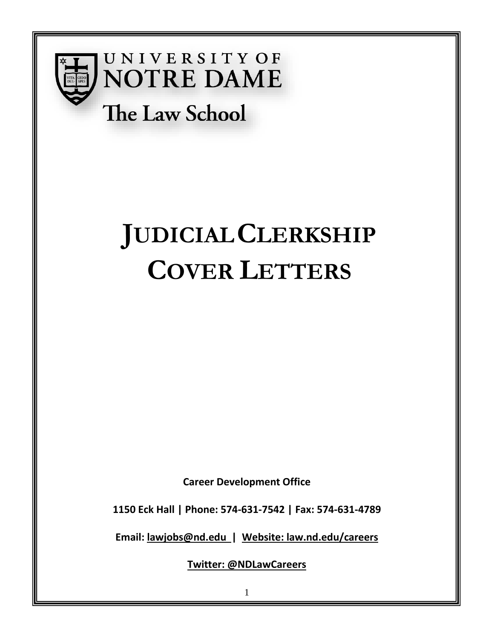

# UNIVERSITY OF **NOTRE DAME**

# The Law School

# **JUDICIALCLERKSHIP COVER LETTERS**

**Career Development Office**

**1150 Eck Hall | Phone: 574-631-7542 | Fax: 574-631-4789** 

**Email: [lawjobs@nd.edu](mailto:lawjobs@nd.edu) | Website: law.nd.edu/careers**

**Twitter: @NDLawCareers**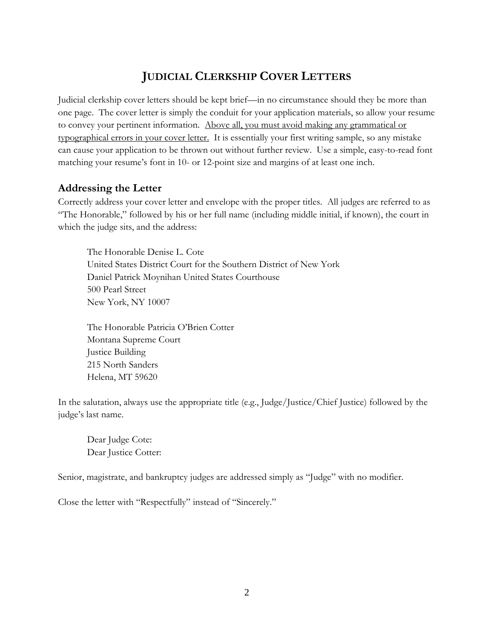## **JUDICIAL CLERKSHIP COVER LETTERS**

Judicial clerkship cover letters should be kept brief—in no circumstance should they be more than one page. The cover letter is simply the conduit for your application materials, so allow your resume to convey your pertinent information. Above all, you must avoid making any grammatical or typographical errors in your cover letter. It is essentially your first writing sample, so any mistake can cause your application to be thrown out without further review. Use a simple, easy-to-read font matching your resume's font in 10- or 12-point size and margins of at least one inch.

#### **Addressing the Letter**

Correctly address your cover letter and envelope with the proper titles. All judges are referred to as "The Honorable," followed by his or her full name (including middle initial, if known), the court in which the judge sits, and the address:

The Honorable Denise L. Cote United States District Court for the Southern District of New York Daniel Patrick Moynihan United States Courthouse 500 Pearl Street New York, NY 10007

The Honorable Patricia O'Brien Cotter Montana Supreme Court Justice Building 215 North Sanders Helena, MT 59620

In the salutation, always use the appropriate title (e.g., Judge/Justice/Chief Justice) followed by the judge's last name.

Dear Judge Cote: Dear Justice Cotter:

Senior, magistrate, and bankruptcy judges are addressed simply as "Judge" with no modifier.

Close the letter with "Respectfully" instead of "Sincerely."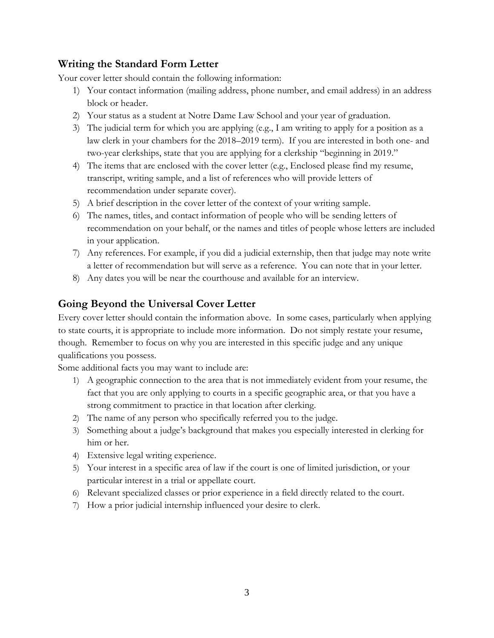#### **Writing the Standard Form Letter**

Your cover letter should contain the following information:

- 1) Your contact information (mailing address, phone number, and email address) in an address block or header.
- 2) Your status as a student at Notre Dame Law School and your year of graduation.
- 3) The judicial term for which you are applying (e.g., I am writing to apply for a position as a law clerk in your chambers for the 2018–2019 term). If you are interested in both one- and two-year clerkships, state that you are applying for a clerkship "beginning in 2019."
- 4) The items that are enclosed with the cover letter (e.g., Enclosed please find my resume, transcript, writing sample, and a list of references who will provide letters of recommendation under separate cover).
- 5) A brief description in the cover letter of the context of your writing sample.
- 6) The names, titles, and contact information of people who will be sending letters of recommendation on your behalf, or the names and titles of people whose letters are included in your application.
- 7) Any references. For example, if you did a judicial externship, then that judge may note write a letter of recommendation but will serve as a reference. You can note that in your letter.
- 8) Any dates you will be near the courthouse and available for an interview.

### **Going Beyond the Universal Cover Letter**

Every cover letter should contain the information above. In some cases, particularly when applying to state courts, it is appropriate to include more information. Do not simply restate your resume, though. Remember to focus on why you are interested in this specific judge and any unique qualifications you possess.

Some additional facts you may want to include are:

- 1) A geographic connection to the area that is not immediately evident from your resume, the fact that you are only applying to courts in a specific geographic area, or that you have a strong commitment to practice in that location after clerking.
- 2) The name of any person who specifically referred you to the judge.
- 3) Something about a judge's background that makes you especially interested in clerking for him or her.
- 4) Extensive legal writing experience.
- 5) Your interest in a specific area of law if the court is one of limited jurisdiction, or your particular interest in a trial or appellate court.
- 6) Relevant specialized classes or prior experience in a field directly related to the court.
- 7) How a prior judicial internship influenced your desire to clerk.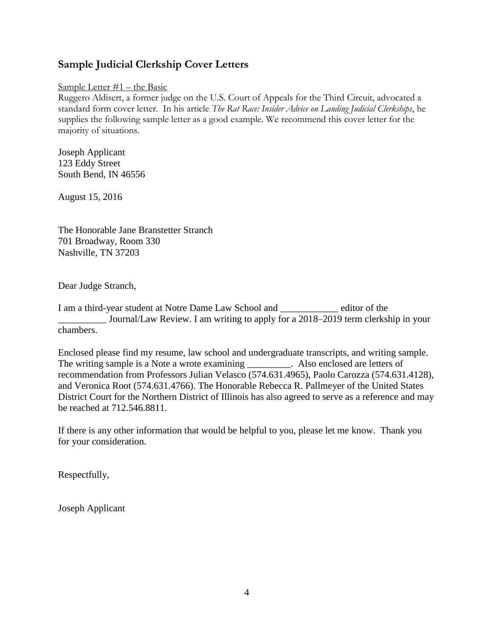#### **Sample Judicial Clerkship Cover Letters**

#### Sample Letter #1 – the Basic

Ruggero Aldisert, a former judge on the U.S. Court of Appeals for the Third Circuit, advocated a standard form cover letter. In his article *The Rat Race: Insider Advice on Landing Judicial Clerkships*, he supplies the following sample letter as a good example. We recommend this cover letter for the majority of situations.

Joseph Applicant 123 Eddy Street South Bend, IN 46556

August 15, 2016

The Honorable Jane Branstetter Stranch 701 Broadway, Room 330 Nashville, TN 37203

Dear Judge Stranch,

I am a third-year student at Notre Dame Law School and \_\_\_\_\_\_\_\_\_\_\_\_ editor of the \_\_\_\_\_\_\_\_\_\_ Journal/Law Review. I am writing to apply for a 2018–2019 term clerkship in your chambers.

Enclosed please find my resume, law school and undergraduate transcripts, and writing sample. The writing sample is a Note a wrote examining  $\qquad \qquad$  Also enclosed are letters of recommendation from Professors Julian Velasco (574.631.4965), Paolo Carozza (574.631.4128), and Veronica Root (574.631.4766). The Honorable Rebecca R. Pallmeyer of the United States District Court for the Northern District of Illinois has also agreed to serve as a reference and may be reached at 712.546.8811.

If there is any other information that would be helpful to you, please let me know. Thank you for your consideration.

Respectfully,

Joseph Applicant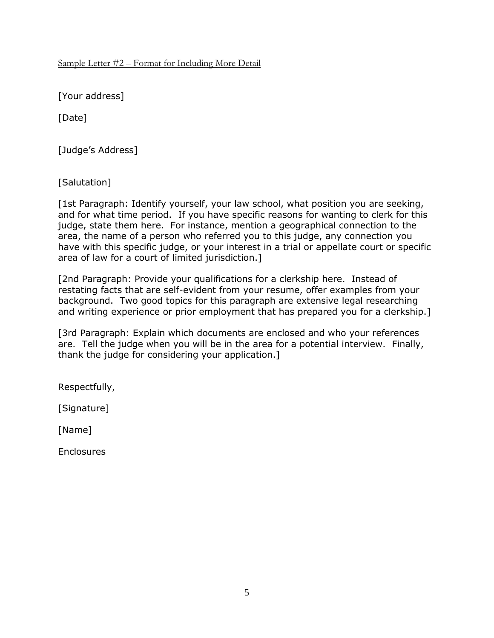Sample Letter #2 – Format for Including More Detail

[Your address]

[Date]

[Judge's Address]

[Salutation]

[1st Paragraph: Identify yourself, your law school, what position you are seeking, and for what time period. If you have specific reasons for wanting to clerk for this judge, state them here. For instance, mention a geographical connection to the area, the name of a person who referred you to this judge, any connection you have with this specific judge, or your interest in a trial or appellate court or specific area of law for a court of limited jurisdiction.]

[2nd Paragraph: Provide your qualifications for a clerkship here. Instead of restating facts that are self-evident from your resume, offer examples from your background. Two good topics for this paragraph are extensive legal researching and writing experience or prior employment that has prepared you for a clerkship.]

[3rd Paragraph: Explain which documents are enclosed and who your references are. Tell the judge when you will be in the area for a potential interview. Finally, thank the judge for considering your application.]

Respectfully,

[Signature]

[Name]

**Enclosures**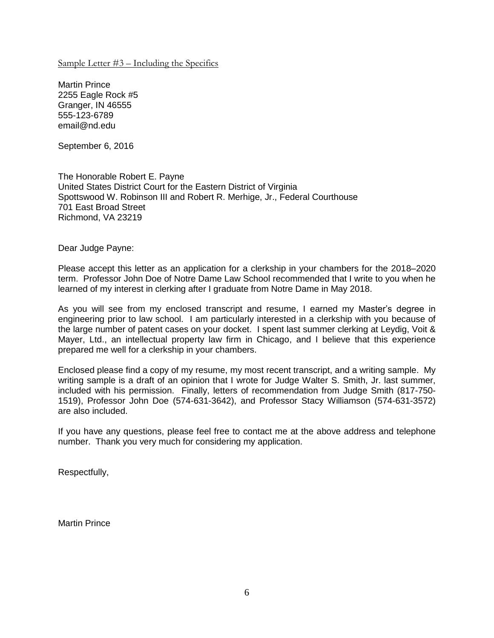Sample Letter  $#3$  – Including the Specifics

Martin Prince 2255 Eagle Rock #5 Granger, IN 46555 555-123-6789 email@nd.edu

September 6, 2016

The Honorable Robert E. Payne United States District Court for the Eastern District of Virginia Spottswood W. Robinson III and Robert R. Merhige, Jr., Federal Courthouse 701 East Broad Street Richmond, VA 23219

Dear Judge Payne:

Please accept this letter as an application for a clerkship in your chambers for the 2018–2020 term. Professor John Doe of Notre Dame Law School recommended that I write to you when he learned of my interest in clerking after I graduate from Notre Dame in May 2018.

As you will see from my enclosed transcript and resume, I earned my Master's degree in engineering prior to law school. I am particularly interested in a clerkship with you because of the large number of patent cases on your docket. I spent last summer clerking at Leydig, Voit & Mayer, Ltd., an intellectual property law firm in Chicago, and I believe that this experience prepared me well for a clerkship in your chambers.

Enclosed please find a copy of my resume, my most recent transcript, and a writing sample. My writing sample is a draft of an opinion that I wrote for Judge Walter S. Smith, Jr. last summer, included with his permission. Finally, letters of recommendation from Judge Smith (817-750- 1519), Professor John Doe (574-631-3642), and Professor Stacy Williamson (574-631-3572) are also included.

If you have any questions, please feel free to contact me at the above address and telephone number. Thank you very much for considering my application.

Respectfully,

Martin Prince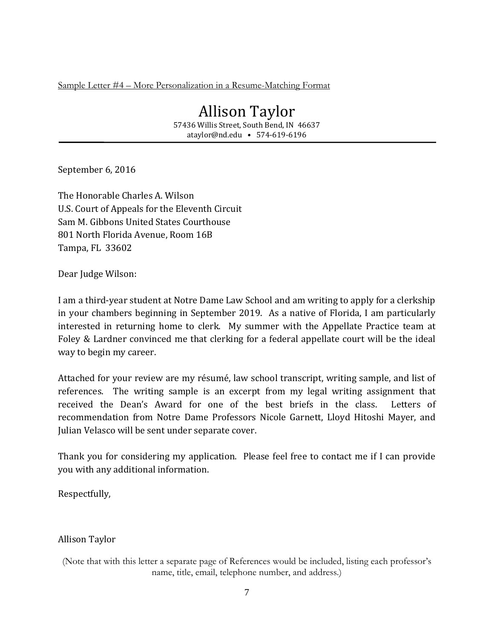Sample Letter #4 – More Personalization in a Resume-Matching Format

Allison Taylor 57436 Willis Street, South Bend, IN 46637 ataylor@nd.edu • 574-619-6196

September 6, 2016

The Honorable Charles A. Wilson U.S. Court of Appeals for the Eleventh Circuit Sam M. Gibbons United States Courthouse 801 North Florida Avenue, Room 16B Tampa, FL 33602

Dear Judge Wilson:

I am a third-year student at Notre Dame Law School and am writing to apply for a clerkship in your chambers beginning in September 2019. As a native of Florida, I am particularly interested in returning home to clerk. My summer with the Appellate Practice team at Foley & Lardner convinced me that clerking for a federal appellate court will be the ideal way to begin my career.

Attached for your review are my résumé, law school transcript, writing sample, and list of references. The writing sample is an excerpt from my legal writing assignment that received the Dean's Award for one of the best briefs in the class. Letters of recommendation from Notre Dame Professors Nicole Garnett, Lloyd Hitoshi Mayer, and Julian Velasco will be sent under separate cover.

Thank you for considering my application. Please feel free to contact me if I can provide you with any additional information.

Respectfully,

#### Allison Taylor

(Note that with this letter a separate page of References would be included, listing each professor's name, title, email, telephone number, and address.)